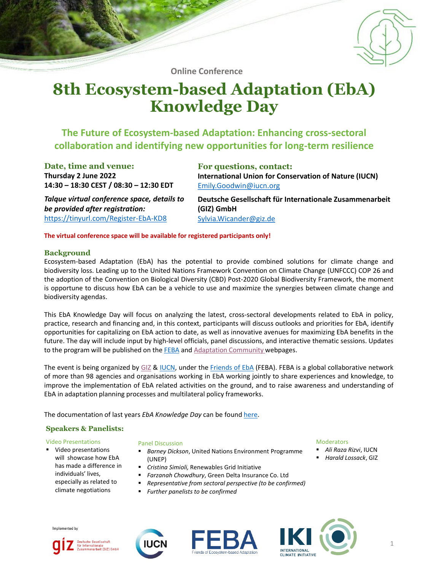

**Online Conference**

# **8th Ecosystem-based Adaptation (EbA) Knowledge Day**

## **The Future of Ecosystem-based Adaptation: Enhancing cross-sectoral collaboration and identifying new opportunities for long-term resilience**

**Date, time and venue: Thursday 2 June 2022 14:30 – 18:30 CEST / 08:30 – 12:30 EDT** **For questions, contact: International Union for Conservation of Nature (IUCN)** [Emily.Goodwin@iucn.org](mailto:Emily.Goodwin@iucn.org)

*Talque virtual conference space, details to be provided after registration:* <https://tinyurl.com/Register-EbA-KD8>

**Deutsche Gesellschaft für Internationale Zusammenarbeit (GIZ) GmbH** [Sylvia.Wicander@giz.de](mailto:ulrich.kindermann@giz.de)

**The virtual conference space will be available for registered participants only!**

#### **Background**

Ecosystem-based Adaptation (EbA) has the potential to provide combined solutions for climate change and biodiversity loss. Leading up to the United Nations Framework Convention on Climate Change (UNFCCC) COP 26 and the adoption of the Convention on Biological Diversity (CBD) Post-2020 Global Biodiversity Framework, the moment is opportune to discuss how EbA can be a vehicle to use and maximize the synergies between climate change and biodiversity agendas.

This EbA Knowledge Day will focus on analyzing the latest, cross-sectoral developments related to EbA in policy, practice, research and financing and, in this context, participants will discuss outlooks and priorities for EbA, identify opportunities for capitalizing on EbA action to date, as well as innovative avenues for maximizing EbA benefits in the future. The day will include input by high-level officials, panel discussions, and interactive thematic sessions. Updates to the program will be published on the [FEBA](http://www.FriendsofEbA.com) and Adaptation [Community](https://www.adaptationcommunity.net/news/invitation-to-the-8th-eba-knowledge-day-the-future-of-ecosystem-based-adaptation-enhancing-cross-sectoral-collaboration-and-identifying-new-opportunities-for-long-term-resilience/) webpages.

The event is being organized by [GIZ](https://www.giz.de/en/html/index.html) & [IUCN,](http://www.iucn.org/eba) under the [Friends](http://www.FriendsofEbA.com) of EbA (FEBA). FEBA is a global collaborative network of more than 98 agencies and organisations working in EbA working jointly to share experiences and knowledge, to improve the implementation of EbA related activities on the ground, and to raise awareness and understanding of EbA in adaptation planning processes and multilateral policy frameworks.

The documentation of last years *EbA Knowledge Day* can be found [here.](https://www.adaptationcommunity.net/news/documentation-7th-eba-knowledge-day/)

## **Speakers & Panelists:**

#### Video Presentations

▪ Video presentations will showcase how EbA has made a difference in individuals' lives, especially as related to climate negotiations

#### Panel Discussion

- *Barney Dickson*, United Nations Environment Programme (UNEP)
- *Cristina Simioli,* Renewables Grid Initiative
- *Farzanah Chowdhury*, Green Delta Insurance Co. Ltd
- *Representative from sectoral perspective (to be confirmed)*
	- *Further panelists to be confirmed*

#### Moderators

- *Ali Raza Rizvi*, IUCN
- *Harald Lossack*, GIZ

Implemented by







1